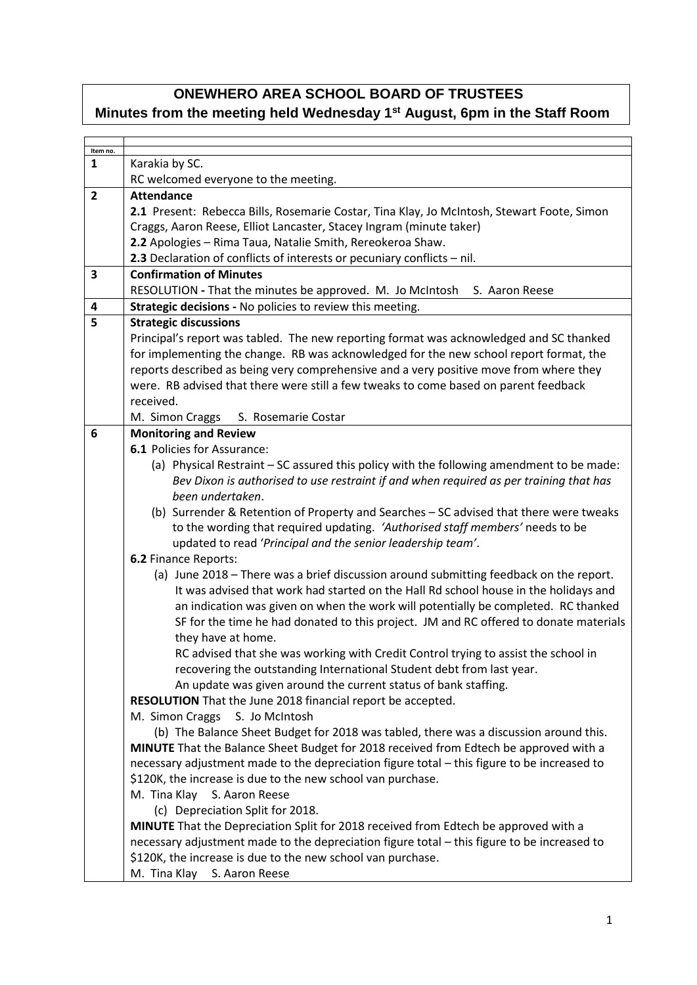## **ONEWHERO AREA SCHOOL BOARD OF TRUSTEES**

## **Minutes from the meeting held Wednesday 1st August, 6pm in the Staff Room**

| Item no.                |                                                                                             |
|-------------------------|---------------------------------------------------------------------------------------------|
| 1                       | Karakia by SC.                                                                              |
|                         | RC welcomed everyone to the meeting.                                                        |
| $\overline{\mathbf{2}}$ | <b>Attendance</b>                                                                           |
|                         | 2.1 Present: Rebecca Bills, Rosemarie Costar, Tina Klay, Jo McIntosh, Stewart Foote, Simon  |
|                         | Craggs, Aaron Reese, Elliot Lancaster, Stacey Ingram (minute taker)                         |
|                         | 2.2 Apologies - Rima Taua, Natalie Smith, Rereokeroa Shaw.                                  |
|                         | 2.3 Declaration of conflicts of interests or pecuniary conflicts - nil.                     |
| 3                       | <b>Confirmation of Minutes</b>                                                              |
|                         | RESOLUTION - That the minutes be approved. M. Jo McIntosh<br>S. Aaron Reese                 |
| $\overline{\mathbf{4}}$ |                                                                                             |
|                         | Strategic decisions - No policies to review this meeting.                                   |
| 5                       | <b>Strategic discussions</b>                                                                |
|                         | Principal's report was tabled. The new reporting format was acknowledged and SC thanked     |
|                         | for implementing the change. RB was acknowledged for the new school report format, the      |
|                         | reports described as being very comprehensive and a very positive move from where they      |
|                         | were. RB advised that there were still a few tweaks to come based on parent feedback        |
|                         | received.                                                                                   |
|                         | M. Simon Craggs<br>S. Rosemarie Costar                                                      |
| 6                       | <b>Monitoring and Review</b>                                                                |
|                         | 6.1 Policies for Assurance:                                                                 |
|                         | (a) Physical Restraint – SC assured this policy with the following amendment to be made:    |
|                         | Bev Dixon is authorised to use restraint if and when required as per training that has      |
|                         | been undertaken.                                                                            |
|                         | (b) Surrender & Retention of Property and Searches - SC advised that there were tweaks      |
|                         | to the wording that required updating. 'Authorised staff members' needs to be               |
|                         | updated to read 'Principal and the senior leadership team'.                                 |
|                         | 6.2 Finance Reports:                                                                        |
|                         | (a) June 2018 - There was a brief discussion around submitting feedback on the report.      |
|                         | It was advised that work had started on the Hall Rd school house in the holidays and        |
|                         | an indication was given on when the work will potentially be completed. RC thanked          |
|                         | SF for the time he had donated to this project. JM and RC offered to donate materials       |
|                         | they have at home.                                                                          |
|                         | RC advised that she was working with Credit Control trying to assist the school in          |
|                         | recovering the outstanding International Student debt from last year.                       |
|                         | An update was given around the current status of bank staffing.                             |
|                         | RESOLUTION That the June 2018 financial report be accepted.                                 |
|                         | M. Simon Craggs<br>S. Jo McIntosh                                                           |
|                         | (b) The Balance Sheet Budget for 2018 was tabled, there was a discussion around this.       |
|                         | MINUTE That the Balance Sheet Budget for 2018 received from Edtech be approved with a       |
|                         | necessary adjustment made to the depreciation figure total - this figure to be increased to |
|                         | \$120K, the increase is due to the new school van purchase.                                 |
|                         | M. Tina Klay<br>S. Aaron Reese                                                              |
|                         | (c) Depreciation Split for 2018.                                                            |
|                         | MINUTE That the Depreciation Split for 2018 received from Edtech be approved with a         |
|                         | necessary adjustment made to the depreciation figure total - this figure to be increased to |
|                         |                                                                                             |
|                         | \$120K, the increase is due to the new school van purchase.                                 |
|                         | M. Tina Klay S. Aaron Reese                                                                 |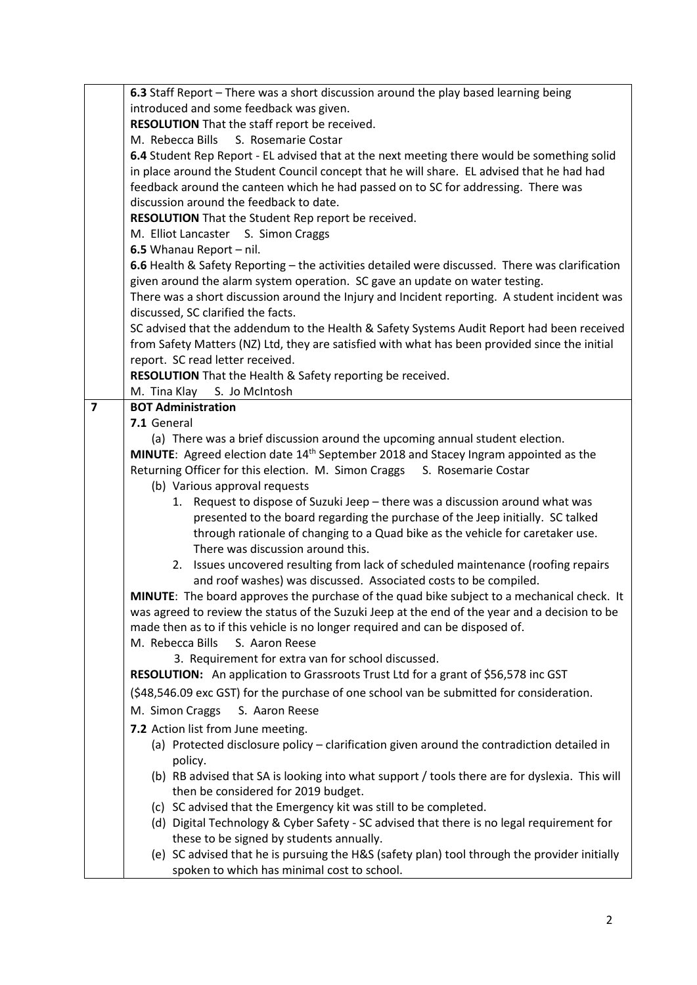|                | 6.3 Staff Report - There was a short discussion around the play based learning being            |
|----------------|-------------------------------------------------------------------------------------------------|
|                | introduced and some feedback was given.                                                         |
|                | RESOLUTION That the staff report be received.                                                   |
|                | M. Rebecca Bills<br>S. Rosemarie Costar                                                         |
|                | 6.4 Student Rep Report - EL advised that at the next meeting there would be something solid     |
|                | in place around the Student Council concept that he will share. EL advised that he had had      |
|                | feedback around the canteen which he had passed on to SC for addressing. There was              |
|                | discussion around the feedback to date.                                                         |
|                | RESOLUTION That the Student Rep report be received.                                             |
|                | M. Elliot Lancaster S. Simon Craggs                                                             |
|                | 6.5 Whanau Report - nil.                                                                        |
|                | 6.6 Health & Safety Reporting - the activities detailed were discussed. There was clarification |
|                | given around the alarm system operation. SC gave an update on water testing.                    |
|                | There was a short discussion around the Injury and Incident reporting. A student incident was   |
|                | discussed, SC clarified the facts.                                                              |
|                | SC advised that the addendum to the Health & Safety Systems Audit Report had been received      |
|                | from Safety Matters (NZ) Ltd, they are satisfied with what has been provided since the initial  |
|                | report. SC read letter received.                                                                |
|                | RESOLUTION That the Health & Safety reporting be received.                                      |
|                | S. Jo McIntosh<br>M. Tina Klay                                                                  |
| $\overline{7}$ | <b>BOT Administration</b>                                                                       |
|                | 7.1 General                                                                                     |
|                | (a) There was a brief discussion around the upcoming annual student election.                   |
|                | MINUTE: Agreed election date 14 <sup>th</sup> September 2018 and Stacey Ingram appointed as the |
|                | Returning Officer for this election. M. Simon Craggs S. Rosemarie Costar                        |
|                | (b) Various approval requests                                                                   |
|                | 1. Request to dispose of Suzuki Jeep - there was a discussion around what was                   |
|                | presented to the board regarding the purchase of the Jeep initially. SC talked                  |
|                | through rationale of changing to a Quad bike as the vehicle for caretaker use.                  |
|                | There was discussion around this.                                                               |
|                | 2. Issues uncovered resulting from lack of scheduled maintenance (roofing repairs               |
|                | and roof washes) was discussed. Associated costs to be compiled.                                |
|                | MINUTE: The board approves the purchase of the quad bike subject to a mechanical check. It      |
|                | was agreed to review the status of the Suzuki Jeep at the end of the year and a decision to be  |
|                | made then as to if this vehicle is no longer required and can be disposed of.                   |
|                | M. Rebecca Bills<br>S. Aaron Reese                                                              |
|                | 3. Requirement for extra van for school discussed.                                              |
|                | <b>RESOLUTION:</b> An application to Grassroots Trust Ltd for a grant of \$56,578 inc GST       |
|                | (\$48,546.09 exc GST) for the purchase of one school van be submitted for consideration.        |
|                | M. Simon Craggs<br>S. Aaron Reese                                                               |
|                | 7.2 Action list from June meeting.                                                              |
|                | (a) Protected disclosure policy - clarification given around the contradiction detailed in      |
|                | policy.                                                                                         |
|                | (b) RB advised that SA is looking into what support / tools there are for dyslexia. This will   |
|                | then be considered for 2019 budget.                                                             |
|                | (c) SC advised that the Emergency kit was still to be completed.                                |
|                | (d) Digital Technology & Cyber Safety - SC advised that there is no legal requirement for       |
|                | these to be signed by students annually.                                                        |
|                | (e) SC advised that he is pursuing the H&S (safety plan) tool through the provider initially    |
|                | spoken to which has minimal cost to school.                                                     |
|                |                                                                                                 |